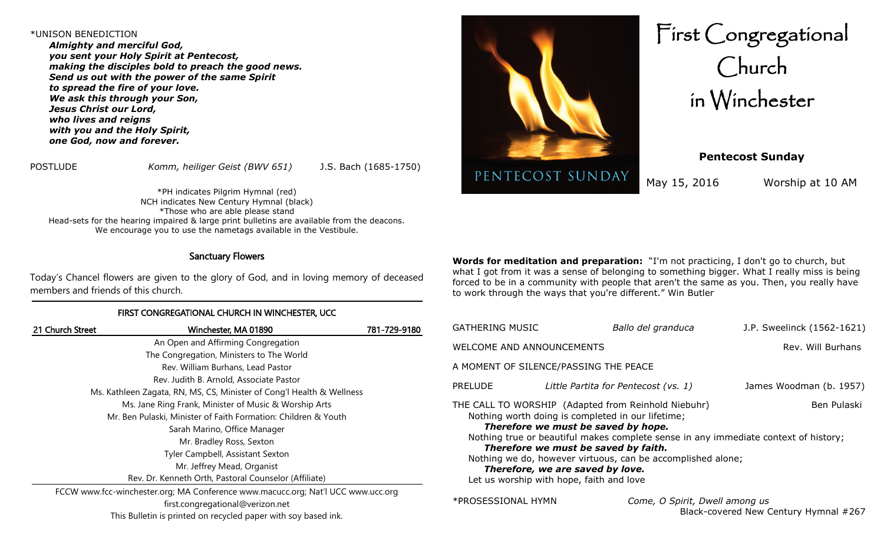#### \*UNISON BENEDICTION

*Almighty and merciful God, you sent your Holy Spirit at Pentecost, making the disciples bold to preach the good news. Send us out with the power of the same Spirit to spread the fire of your love. We ask this through your Son, Jesus Christ our Lord, who lives and reigns with you and the Holy Spirit, one God, now and forever.*

POSTLUDE *Komm, heiliger Geist (BWV 651)* J.S. Bach (1685-1750)

\*PH indicates Pilgrim Hymnal (red) NCH indicates New Century Hymnal (black) \*Those who are able please stand Head-sets for the hearing impaired & large print bulletins are available from the deacons. We encourage you to use the nametags available in the Vestibule.

## Sanctuary Flowers

Today's Chancel flowers are given to the glory of God, and in loving memory of deceased members and friends of this church.

## FIRST CONGREGATIONAL CHURCH IN WINCHESTER, UCC

| 21 Church Street                                                                 | Winchester, MA 01890                                           | 781-729-9180 |
|----------------------------------------------------------------------------------|----------------------------------------------------------------|--------------|
|                                                                                  | An Open and Affirming Congregation                             |              |
|                                                                                  | The Congregation, Ministers to The World                       |              |
|                                                                                  | Rev. William Burhans, Lead Pastor                              |              |
|                                                                                  | Rev. Judith B. Arnold, Associate Pastor                        |              |
| Ms. Kathleen Zagata, RN, MS, CS, Minister of Cong'l Health & Wellness            |                                                                |              |
|                                                                                  | Ms. Jane Ring Frank, Minister of Music & Worship Arts          |              |
|                                                                                  | Mr. Ben Pulaski, Minister of Faith Formation: Children & Youth |              |
|                                                                                  | Sarah Marino, Office Manager                                   |              |
|                                                                                  | Mr. Bradley Ross, Sexton                                       |              |
|                                                                                  | Tyler Campbell, Assistant Sexton                               |              |
|                                                                                  | Mr. Jeffrey Mead, Organist                                     |              |
|                                                                                  | Rev. Dr. Kenneth Orth, Pastoral Counselor (Affiliate)          |              |
| FCCW www.fcc-winchester.org; MA Conference www.macucc.org; Nat'l UCC www.ucc.org |                                                                |              |
|                                                                                  | first.congregational@verizon.net                               |              |

This Bulletin is printed on recycled paper with soy based ink.



First Congregational Church in Winchester

**Pentecost Sunday**

May 15, 2016 Worship at 10 AM

**Words for meditation and preparation:** "I'm not practicing, I don't go to church, but what I got from it was a sense of belonging to something bigger. What I really miss is being forced to be in a community with people that aren't the same as you. Then, you really have to work through the ways that you're different." Win Butler

| GATHERING MUSIC                                                                                                                                                                                                                                                                                                                                                                                                                              | Ballo del granduca                   | J.P. Sweelinck (1562-1621) |  |  |  |
|----------------------------------------------------------------------------------------------------------------------------------------------------------------------------------------------------------------------------------------------------------------------------------------------------------------------------------------------------------------------------------------------------------------------------------------------|--------------------------------------|----------------------------|--|--|--|
| WELCOME AND ANNOUNCEMENTS                                                                                                                                                                                                                                                                                                                                                                                                                    | Rev. Will Burhans                    |                            |  |  |  |
| A MOMENT OF SILENCE/PASSING THE PEACE                                                                                                                                                                                                                                                                                                                                                                                                        |                                      |                            |  |  |  |
| <b>PRELUDE</b>                                                                                                                                                                                                                                                                                                                                                                                                                               | Little Partita for Pentecost (vs. 1) | James Woodman (b. 1957)    |  |  |  |
| THE CALL TO WORSHIP (Adapted from Reinhold Niebuhr)<br>Ben Pulaski<br>Nothing worth doing is completed in our lifetime;<br>Therefore we must be saved by hope.<br>Nothing true or beautiful makes complete sense in any immediate context of history;<br>Therefore we must be saved by faith.<br>Nothing we do, however virtuous, can be accomplished alone;<br>Therefore, we are saved by love.<br>Let us worship with hope, faith and love |                                      |                            |  |  |  |

\*PROSESSIONAL HYMN *Come, O Spirit, Dwell among us*  Black-covered New Century Hymnal #267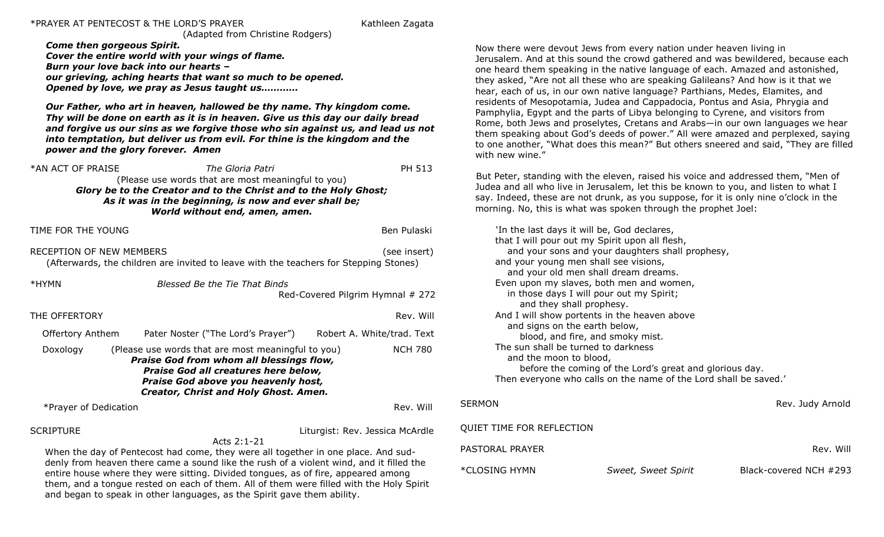#### \*PRAYER AT PENTECOST & THE LORD'S PRAYER Kathleen Zagata

(Adapted from Christine Rodgers)

*Come then gorgeous Spirit. Cover the entire world with your wings of flame. Burn your love back into our hearts – our grieving, aching hearts that want so much to be opened. Opened by love, we pray as Jesus taught us…………*

*Our Father, who art in heaven, hallowed be thy name. Thy kingdom come. Thy will be done on earth as it is in heaven. Give us this day our daily bread and forgive us our sins as we forgive those who sin against us, and lead us not into temptation, but deliver us from evil. For thine is the kingdom and the power and the glory forever. Amen*

\*AN ACT OF PRAISE *The Gloria Patri* PH 513 (Please use words that are most meaningful to you) *Glory be to the Creator and to the Christ and to the Holy Ghost; As it was in the beginning, is now and ever shall be; World without end, amen, amen.*

TIME FOR THE YOUNG BENGLAM BENGLAM BENGLAM BENGLAM BENGLAM BENGLAM BENGLAM BENGLAM BENGLAM BENGLAM BENGLAM BENG

RECEPTION OF NEW MEMBERS **Example 20** (see insert) (Afterwards, the children are invited to leave with the teachers for Stepping Stones)

| *HYMN                   | Blessed Be the Tie That Binds<br>Red-Covered Pilgrim Hymnal # 272                                                                                                                                                             |  |                            |  |
|-------------------------|-------------------------------------------------------------------------------------------------------------------------------------------------------------------------------------------------------------------------------|--|----------------------------|--|
| THE OFFERTORY           |                                                                                                                                                                                                                               |  | Rev. Will                  |  |
| <b>Offertory Anthem</b> | Pater Noster ("The Lord's Prayer")                                                                                                                                                                                            |  | Robert A. White/trad. Text |  |
| Doxology                | (Please use words that are most meaningful to you)<br>Praise God from whom all blessings flow,<br><b>Praise God all creatures here below,</b><br>Praise God above you heavenly host,<br>Creator, Christ and Holy Ghost. Amen. |  | NCH 780                    |  |

\*Prayer of Dedication Rev. Will

SCRIPTURE **EXECUTE: A SCRIPTURE** Liturgist: Rev. Jessica McArdle

Acts 2:1-21 When the day of Pentecost had come, they were all together in one place. And suddenly from heaven there came a sound like the rush of a violent wind, and it filled the entire house where they were sitting. Divided tongues, as of fire, appeared among them, and a tongue rested on each of them. All of them were filled with the Holy Spirit and began to speak in other languages, as the Spirit gave them ability.

Now there were devout Jews from every nation under heaven living in Jerusalem. And at this sound the crowd gathered and was bewildered, because each one heard them speaking in the native language of each. Amazed and astonished, they asked, "Are not all these who are speaking Galileans? And how is it that we hear, each of us, in our own native language? Parthians, Medes, Elamites, and residents of Mesopotamia, Judea and Cappadocia, Pontus and Asia, Phrygia and Pamphylia, Egypt and the parts of Libya belonging to Cyrene, and visitors from Rome, both Jews and proselytes, Cretans and Arabs—in our own languages we hear them speaking about God's deeds of power." All were amazed and perplexed, saying to one another, "What does this mean?" But others sneered and said, "They are filled with new wine."

But Peter, standing with the eleven, raised his voice and addressed them, "Men of Judea and all who live in Jerusalem, let this be known to you, and listen to what I say. Indeed, these are not drunk, as you suppose, for it is only nine o'clock in the morning. No, this is what was spoken through the prophet Joel:

'In the last days it will be, God declares, that I will pour out my Spirit upon all flesh, and your sons and your daughters shall prophesy, and your young men shall see visions, and your old men shall dream dreams. Even upon my slaves, both men and women, in those days I will pour out my Spirit; and they shall prophesy. And I will show portents in the heaven above and signs on the earth below, blood, and fire, and smoky mist. The sun shall be turned to darkness and the moon to blood, before the coming of the Lord's great and glorious day. Then everyone who calls on the name of the Lord shall be saved.' SERMON Rev. Judy Arnold SERMON QUIET TIME FOR REFLECTION PASTORAL PRAYER **Rev. Will are also assumed a set of the contract of the contract of the contract of the contract of the contract of the contract of the contract of the contract of the contract of the contract of the contr** \*CLOSING HYMN *Sweet, Sweet Spirit* Black-covered NCH #293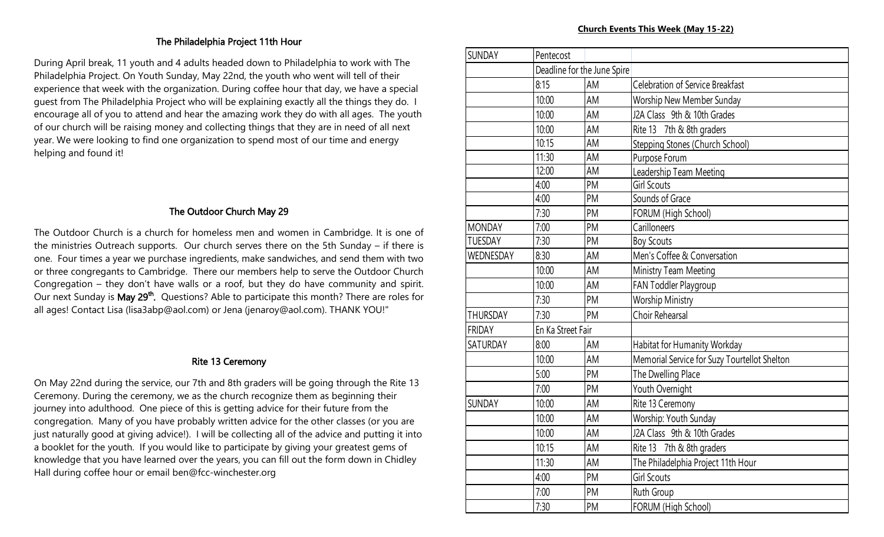# The Philadelphia Project 11th Hour

During April break, 11 youth and 4 adults headed down to Philadelphia to work with The Philadelphia Project. On Youth Sunday, May 22nd, the youth who went will tell of their experience that week with the organization. During coffee hour that day, we have a special guest from The Philadelphia Project who will be explaining exactly all the things they do. I encourage all of you to attend and hear the amazing work they do with all ages. The youth of our church will be raising money and collecting things that they are in need of all next year. We were looking to find one organization to spend most of our time and energy helping and found it!

# The Outdoor Church May 29

The Outdoor Church is a church for homeless men and women in Cambridge. It is one of the ministries Outreach supports. Our church serves there on the 5th Sunday – if there is one. Four times a year we purchase ingredients, make sandwiches, and send them with two or three congregants to Cambridge. There our members help to serve the Outdoor Church Congregation – they don't have walls or a roof, but they do have community and spirit. Our next Sunday is May 29<sup>th</sup>. Questions? Able to participate this month? There are roles for all ages! Contact Lisa (lisa3abp@aol.com) or Jena (jenaroy@aol.com). THANK YOU!"

# Rite 13 Ceremony

On May 22nd during the service, our 7th and 8th graders will be going through the Rite 13 Ceremony. During the ceremony, we as the church recognize them as beginning their journey into adulthood. One piece of this is getting advice for their future from the congregation. Many of you have probably written advice for the other classes (or you are just naturally good at giving advice!). I will be collecting all of the advice and putting it into a booklet for the youth. If you would like to participate by giving your greatest gems of knowledge that you have learned over the years, you can fill out the form down in Chidley Hall during coffee hour or email ben@fcc-winchester.org

| <b>SUNDAY</b>   | Pentecost         |                             |                                              |
|-----------------|-------------------|-----------------------------|----------------------------------------------|
|                 |                   | Deadline for the June Spire |                                              |
|                 | 8:15              | AM                          | <b>Celebration of Service Breakfast</b>      |
|                 | 10:00             | AM                          | Worship New Member Sunday                    |
|                 | 10:00             | AM                          | J2A Class 9th & 10th Grades                  |
|                 | 10:00             | AM                          | Rite 13 7th & 8th graders                    |
|                 | 10:15             | AM                          | Stepping Stones (Church School)              |
|                 | 11:30             | AM                          | Purpose Forum                                |
|                 | 12:00             | AM                          | Leadership Team Meeting                      |
|                 | 4:00              | PM                          | <b>Girl Scouts</b>                           |
|                 | 4:00              | PM                          | Sounds of Grace                              |
|                 | 7:30              | PM                          | FORUM (High School)                          |
| <b>MONDAY</b>   | 7:00              | PM                          | Carilloneers                                 |
| <b>TUESDAY</b>  | 7:30              | PM                          | <b>Boy Scouts</b>                            |
| WEDNESDAY       | 8:30              | AM                          | Men's Coffee & Conversation                  |
|                 | 10:00             | AM                          | Ministry Team Meeting                        |
|                 | 10:00             | AM                          | FAN Toddler Playgroup                        |
|                 | 7:30              | <b>PM</b>                   | <b>Worship Ministry</b>                      |
| <b>THURSDAY</b> | 7:30              | PM                          | Choir Rehearsal                              |
| <b>FRIDAY</b>   | En Ka Street Fair |                             |                                              |
| <b>SATURDAY</b> | 8:00              | AM                          | Habitat for Humanity Workday                 |
|                 | 10:00             | AM                          | Memorial Service for Suzy Tourtellot Shelton |
|                 | 5:00              | PM                          | The Dwelling Place                           |
|                 | 7:00              | PM                          | Youth Overnight                              |
| <b>SUNDAY</b>   | 10:00             | AM                          | Rite 13 Ceremony                             |
|                 | 10:00             | AM                          | Worship: Youth Sunday                        |
|                 | 10:00             | AM                          | J2A Class 9th & 10th Grades                  |
|                 | 10:15             | AM                          | Rite 13 7th & 8th graders                    |
|                 | 11:30             | AM                          | The Philadelphia Project 11th Hour           |
|                 | 4:00              | PM                          | Girl Scouts                                  |
|                 | 7:00              | PM                          | Ruth Group                                   |
|                 | 7:30              | PM                          | FORUM (High School)                          |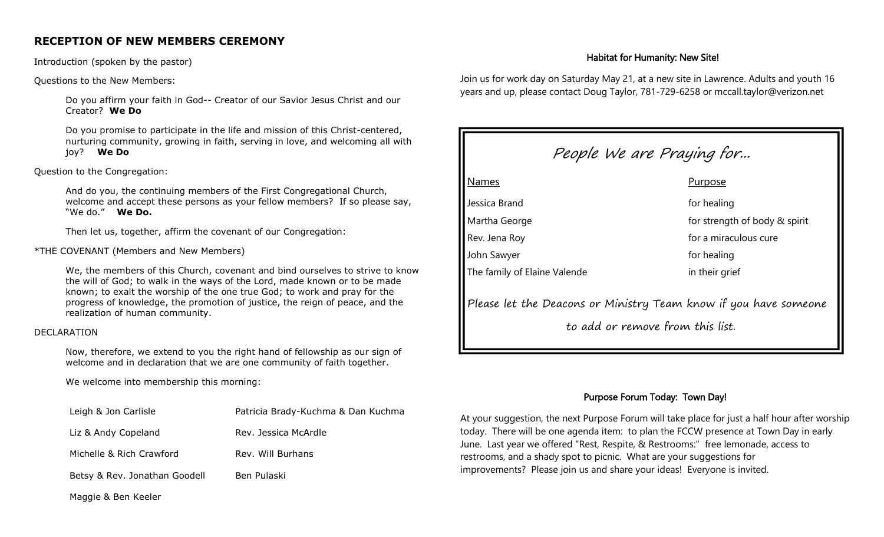# **RECEPTION OF NEW MEMBERS CEREMONY**

Introduction (spoken by the pastor)

Questions to the New Members:

 Do you affirm your faith in God-- Creator of our Savior Jesus Christ and our Creator? **We Do**

Do you promise to participate in the life and mission of this Christ-centered, nurturing community, growing in faith, serving in love, and welcoming all with joy? **We Do**

Question to the Congregation:

And do you, the continuing members of the First Congregational Church, welcome and accept these persons as your fellow members? If so please say, "We do." **We Do.**

Then let us, together, affirm the covenant of our Congregation:

## \*THE COVENANT (Members and New Members)

We, the members of this Church, covenant and bind ourselves to strive to know the will of God; to walk in the ways of the Lord, made known or to be made known; to exalt the worship of the one true God; to work and pray for the progress of knowledge, the promotion of justice, the reign of peace, and the realization of human community.

#### DECLARATION

Now, therefore, we extend to you the right hand of fellowship as our sign of welcome and in declaration that we are one community of faith together.

We welcome into membership this morning:

| Patricia Brady-Kuchma & Dan Kuchma |
|------------------------------------|
| Rev. Jessica McArdle               |
| Rev. Will Burhans                  |
| Ben Pulaski                        |
|                                    |

## Habitat for Humanity: New Site!

Join us for work day on Saturday May 21, at a new site in Lawrence. Adults and youth 16 years and up, please contact Doug Taylor, 781-729-6258 or mccall.taylor@verizon.net



# Purpose Forum Today: Town Day!

At your suggestion, the next Purpose Forum will take place for just a half hour after worship today. There will be one agenda item: to plan the FCCW presence at Town Day in early June. Last year we offered "Rest, Respite, & Restrooms:" free lemonade, access to restrooms, and a shady spot to picnic. What are your suggestions for improvements? Please join us and share your ideas! Everyone is invited.

Maggie & Ben Keeler